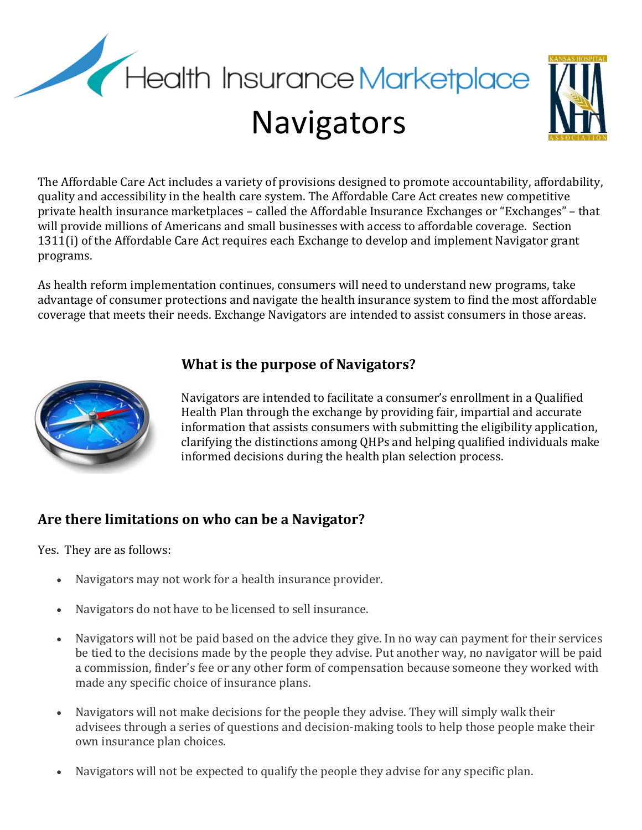



The Affordable Care Act includes a variety of provisions designed to promote accountability, affordability, quality and accessibility in the health care system. The Affordable Care Act creates new competitive private health insurance marketplaces – called the Affordable Insurance Exchanges or "Exchanges" – that will provide millions of Americans and small businesses with access to affordable coverage. Section 1311(i) of the Affordable Care Act requires each Exchange to develop and implement Navigator grant programs.

As health reform implementation continues, consumers will need to understand new programs, take advantage of consumer protections and navigate the health insurance system to find the most affordable coverage that meets their needs. Exchange Navigators are intended to assist consumers in those areas.



### **What is the purpose of Navigators?**

Navigators are intended to facilitate a consumer's enrollment in a Qualified Health Plan through the exchange by providing fair, impartial and accurate information that assists consumers with submitting the eligibility application, clarifying the distinctions among QHPs and helping qualified individuals make informed decisions during the health plan selection process.

### **Are there limitations on who can be a Navigator?**

Yes. They are as follows:

- Navigators may not work for a health insurance provider.
- Navigators do not have to be licensed to sell insurance.
- Navigators will not be paid based on the advice they give. In no way can payment for their services be tied to the decisions made by the people they advise. Put another way, no navigator will be paid a commission, finder's fee or any other form of compensation because someone they worked with made any specific choice of insurance plans.
- Navigators will not make decisions for the people they advise. They will simply walk their advisees through a series of questions and decision-making tools to help those people make their own insurance plan choices.
- Navigators will not be expected to qualify the people they advise for any specific plan.